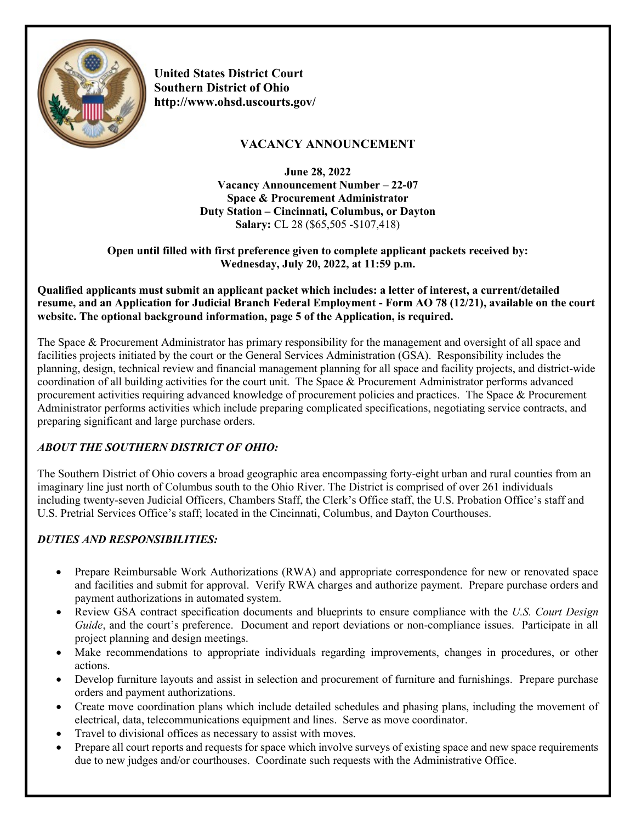

**United States District Court Southern District of Ohio http://www.ohsd.uscourts.gov/**

# **VACANCY ANNOUNCEMENT**

**June 28, 2022 Vacancy Announcement Number – 22-07 Space & Procurement Administrator Duty Station – Cincinnati, Columbus, or Dayton Salary:** CL 28 (\$65,505 -\$107,418)

**Open until filled with first preference given to complete applicant packets received by: Wednesday, July 20, 2022, at 11:59 p.m.**

**Qualified applicants must submit an applicant packet which includes: a letter of interest, a current/detailed resume, and an Application for Judicial Branch Federal Employment - Form AO 78 (12/21), available on the court website. The optional background information, page 5 of the Application, is required.**

The Space & Procurement Administrator has primary responsibility for the management and oversight of all space and facilities projects initiated by the court or the General Services Administration (GSA). Responsibility includes the planning, design, technical review and financial management planning for all space and facility projects, and district-wide coordination of all building activities for the court unit. The Space & Procurement Administrator performs advanced procurement activities requiring advanced knowledge of procurement policies and practices. The Space & Procurement Administrator performs activities which include preparing complicated specifications, negotiating service contracts, and preparing significant and large purchase orders.

# *ABOUT THE SOUTHERN DISTRICT OF OHIO:*

The Southern District of Ohio covers a broad geographic area encompassing forty-eight urban and rural counties from an imaginary line just north of Columbus south to the Ohio River. The District is comprised of over 261 individuals including twenty-seven Judicial Officers, Chambers Staff, the Clerk's Office staff, the U.S. Probation Office's staff and U.S. Pretrial Services Office's staff; located in the Cincinnati, Columbus, and Dayton Courthouses.

# *DUTIES AND RESPONSIBILITIES:*

- Prepare Reimbursable Work Authorizations (RWA) and appropriate correspondence for new or renovated space and facilities and submit for approval. Verify RWA charges and authorize payment. Prepare purchase orders and payment authorizations in automated system.
- Review GSA contract specification documents and blueprints to ensure compliance with the *U.S. Court Design Guide*, and the court's preference. Document and report deviations or non-compliance issues. Participate in all project planning and design meetings.
- Make recommendations to appropriate individuals regarding improvements, changes in procedures, or other actions.
- Develop furniture layouts and assist in selection and procurement of furniture and furnishings. Prepare purchase orders and payment authorizations.
- Create move coordination plans which include detailed schedules and phasing plans, including the movement of electrical, data, telecommunications equipment and lines. Serve as move coordinator.
- Travel to divisional offices as necessary to assist with moves.
- Prepare all court reports and requests for space which involve surveys of existing space and new space requirements due to new judges and/or courthouses. Coordinate such requests with the Administrative Office.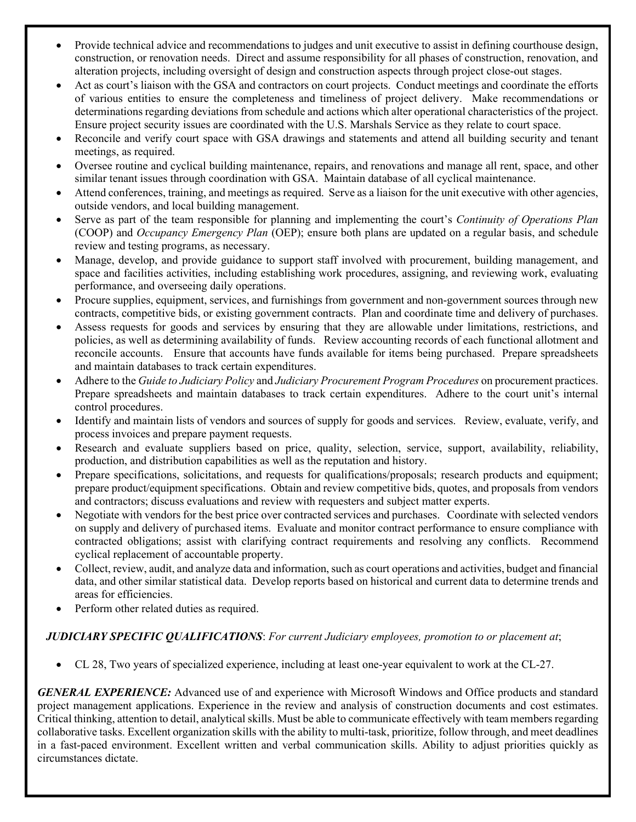- Provide technical advice and recommendations to judges and unit executive to assist in defining courthouse design, construction, or renovation needs. Direct and assume responsibility for all phases of construction, renovation, and alteration projects, including oversight of design and construction aspects through project close-out stages.
- Act as court's liaison with the GSA and contractors on court projects. Conduct meetings and coordinate the efforts of various entities to ensure the completeness and timeliness of project delivery. Make recommendations or determinations regarding deviations from schedule and actions which alter operational characteristics of the project. Ensure project security issues are coordinated with the U.S. Marshals Service as they relate to court space.
- Reconcile and verify court space with GSA drawings and statements and attend all building security and tenant meetings, as required.
- Oversee routine and cyclical building maintenance, repairs, and renovations and manage all rent, space, and other similar tenant issues through coordination with GSA. Maintain database of all cyclical maintenance.
- Attend conferences, training, and meetings as required. Serve as a liaison for the unit executive with other agencies, outside vendors, and local building management.
- Serve as part of the team responsible for planning and implementing the court's *Continuity of Operations Plan* (COOP) and *Occupancy Emergency Plan* (OEP); ensure both plans are updated on a regular basis, and schedule review and testing programs, as necessary.
- Manage, develop, and provide guidance to support staff involved with procurement, building management, and space and facilities activities, including establishing work procedures, assigning, and reviewing work, evaluating performance, and overseeing daily operations.
- Procure supplies, equipment, services, and furnishings from government and non-government sources through new contracts, competitive bids, or existing government contracts. Plan and coordinate time and delivery of purchases.
- Assess requests for goods and services by ensuring that they are allowable under limitations, restrictions, and policies, as well as determining availability of funds. Review accounting records of each functional allotment and reconcile accounts. Ensure that accounts have funds available for items being purchased. Prepare spreadsheets and maintain databases to track certain expenditures.
- Adhere to the *Guide to Judiciary Policy* and *Judiciary Procurement Program Procedures* on procurement practices. Prepare spreadsheets and maintain databases to track certain expenditures. Adhere to the court unit's internal control procedures.
- Identify and maintain lists of vendors and sources of supply for goods and services. Review, evaluate, verify, and process invoices and prepare payment requests.
- Research and evaluate suppliers based on price, quality, selection, service, support, availability, reliability, production, and distribution capabilities as well as the reputation and history.
- Prepare specifications, solicitations, and requests for qualifications/proposals; research products and equipment; prepare product/equipment specifications. Obtain and review competitive bids, quotes, and proposals from vendors and contractors; discuss evaluations and review with requesters and subject matter experts.
- Negotiate with vendors for the best price over contracted services and purchases. Coordinate with selected vendors on supply and delivery of purchased items. Evaluate and monitor contract performance to ensure compliance with contracted obligations; assist with clarifying contract requirements and resolving any conflicts. Recommend cyclical replacement of accountable property.
- Collect, review, audit, and analyze data and information, such as court operations and activities, budget and financial data, and other similar statistical data. Develop reports based on historical and current data to determine trends and areas for efficiencies.
- Perform other related duties as required.

## *JUDICIARY SPECIFIC QUALIFICATIONS*: *For current Judiciary employees, promotion to or placement at*;

• CL 28, Two years of specialized experience, including at least one-year equivalent to work at the CL-27.

*GENERAL EXPERIENCE:* Advanced use of and experience with Microsoft Windows and Office products and standard project management applications. Experience in the review and analysis of construction documents and cost estimates. Critical thinking, attention to detail, analytical skills. Must be able to communicate effectively with team members regarding collaborative tasks. Excellent organization skills with the ability to multi-task, prioritize, follow through, and meet deadlines in a fast-paced environment. Excellent written and verbal communication skills. Ability to adjust priorities quickly as circumstances dictate.